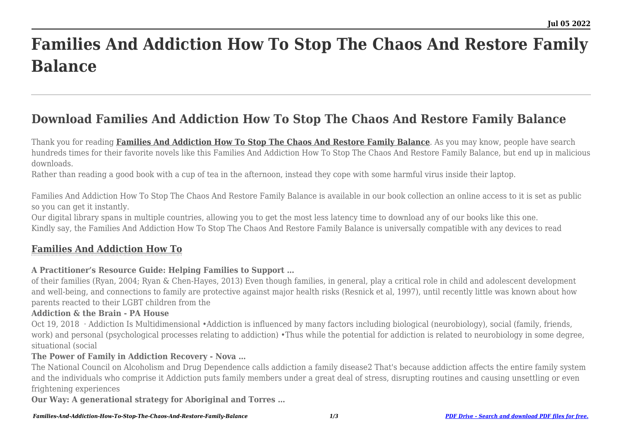# **Families And Addiction How To Stop The Chaos And Restore Family Balance**

# **Download Families And Addiction How To Stop The Chaos And Restore Family Balance**

Thank you for reading **[Families And Addiction How To Stop The Chaos And Restore Family Balance](http://jessicaberan.com)**. As you may know, people have search hundreds times for their favorite novels like this Families And Addiction How To Stop The Chaos And Restore Family Balance, but end up in malicious downloads.

Rather than reading a good book with a cup of tea in the afternoon, instead they cope with some harmful virus inside their laptop.

Families And Addiction How To Stop The Chaos And Restore Family Balance is available in our book collection an online access to it is set as public so you can get it instantly.

Our digital library spans in multiple countries, allowing you to get the most less latency time to download any of our books like this one. Kindly say, the Families And Addiction How To Stop The Chaos And Restore Family Balance is universally compatible with any devices to read

# **[Families And Addiction How To](http://jessicaberan.com/Families-And-Addiction-How-To-Stop-The-Chaos-And-Restore-Family-Balance.pdf)**

#### **A Practitioner's Resource Guide: Helping Families to Support …**

of their families (Ryan, 2004; Ryan & Chen-Hayes, 2013) Even though families, in general, play a critical role in child and adolescent development and well-being, and connections to family are protective against major health risks (Resnick et al, 1997), until recently little was known about how parents reacted to their LGBT children from the

#### **Addiction & the Brain - PA House**

Oct 19, 2018 · Addiction Is Multidimensional • Addiction is influenced by many factors including biological (neurobiology), social (family, friends, work) and personal (psychological processes relating to addiction) •Thus while the potential for addiction is related to neurobiology in some degree, situational (social

#### **The Power of Family in Addiction Recovery - Nova …**

The National Council on Alcoholism and Drug Dependence calls addiction a family disease2 That's because addiction affects the entire family system and the individuals who comprise it Addiction puts family members under a great deal of stress, disrupting routines and causing unsettling or even frightening experiences

**Our Way: A generational strategy for Aboriginal and Torres …**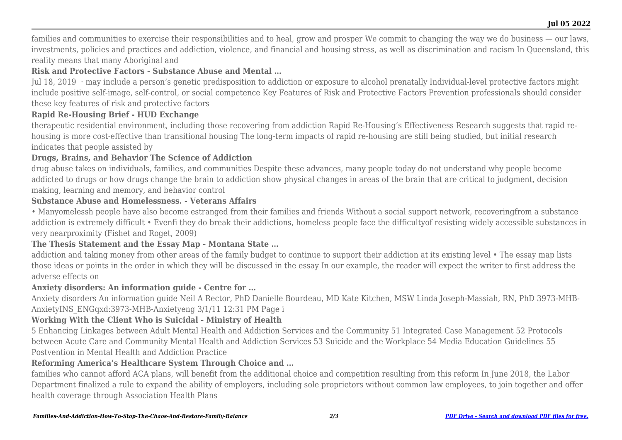families and communities to exercise their responsibilities and to heal, grow and prosper We commit to changing the way we do business — our laws, investments, policies and practices and addiction, violence, and financial and housing stress, as well as discrimination and racism In Queensland, this reality means that many Aboriginal and

#### **Risk and Protective Factors - Substance Abuse and Mental …**

Jul 18, 2019  $\cdot$  may include a person's genetic predisposition to addiction or exposure to alcohol prenatally Individual-level protective factors might include positive self-image, self-control, or social competence Key Features of Risk and Protective Factors Prevention professionals should consider these key features of risk and protective factors

### **Rapid Re-Housing Brief - HUD Exchange**

therapeutic residential environment, including those recovering from addiction Rapid Re-Housing's Effectiveness Research suggests that rapid rehousing is more cost-effective than transitional housing The long-term impacts of rapid re-housing are still being studied, but initial research indicates that people assisted by

### **Drugs, Brains, and Behavior The Science of Addiction**

drug abuse takes on individuals, families, and communities Despite these advances, many people today do not understand why people become addicted to drugs or how drugs change the brain to addiction show physical changes in areas of the brain that are critical to judgment, decision making, learning and memory, and behavior control

### **Substance Abuse and Homelessness. - Veterans Affairs**

• Manyomelessh people have also become estranged from their families and friends Without a social support network, recoveringfrom a substance addiction is extremely difficult • Evenfi they do break their addictions, homeless people face the difficultyof resisting widely accessible substances in very nearproximity (Fishet and Roget, 2009)

#### **The Thesis Statement and the Essay Map - Montana State …**

addiction and taking money from other areas of the family budget to continue to support their addiction at its existing level • The essay map lists those ideas or points in the order in which they will be discussed in the essay In our example, the reader will expect the writer to first address the adverse effects on

#### **Anxiety disorders: An information guide - Centre for …**

Anxiety disorders An information guide Neil A Rector, PhD Danielle Bourdeau, MD Kate Kitchen, MSW Linda Joseph-Massiah, RN, PhD 3973-MHB-AnxietyINS\_ENGqxd:3973-MHB-Anxietyeng 3/1/11 12:31 PM Page i

# **Working With the Client Who is Suicidal - Ministry of Health**

5 Enhancing Linkages between Adult Mental Health and Addiction Services and the Community 51 Integrated Case Management 52 Protocols between Acute Care and Community Mental Health and Addiction Services 53 Suicide and the Workplace 54 Media Education Guidelines 55 Postvention in Mental Health and Addiction Practice

# **Reforming America's Healthcare System Through Choice and …**

families who cannot afford ACA plans, will benefit from the additional choice and competition resulting from this reform In June 2018, the Labor Department finalized a rule to expand the ability of employers, including sole proprietors without common law employees, to join together and offer health coverage through Association Health Plans